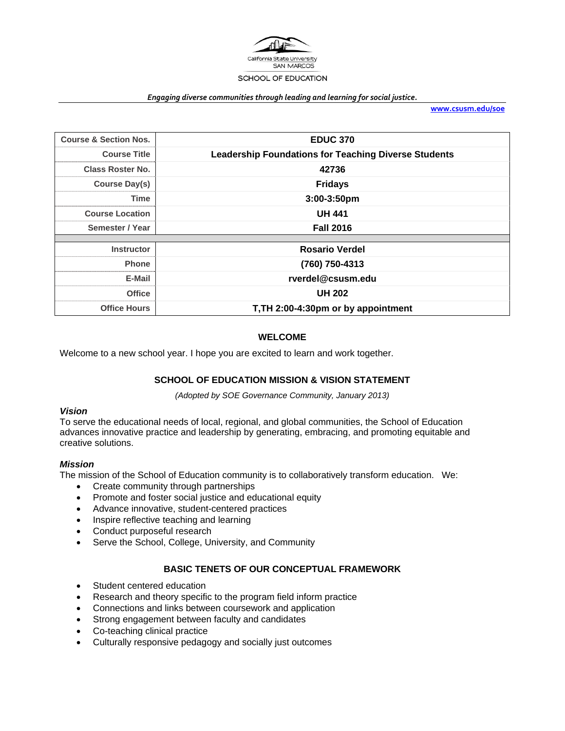

#### *Engaging diverse communities through leading and learning for social justice.*

**www.csusm.edu/soe**

| <b>Course &amp; Section Nos.</b> | <b>EDUC 370</b>                                             |
|----------------------------------|-------------------------------------------------------------|
| <b>Course Title</b>              | <b>Leadership Foundations for Teaching Diverse Students</b> |
| <b>Class Roster No.</b>          | 42736                                                       |
| Course Day(s)                    | <b>Fridays</b>                                              |
| Time                             | $3:00-3:50$ pm                                              |
| <b>Course Location</b>           | <b>UH 441</b>                                               |
| Semester / Year                  | <b>Fall 2016</b>                                            |
|                                  |                                                             |
| <b>Instructor</b>                | <b>Rosario Verdel</b>                                       |
| <b>Phone</b>                     | (760) 750-4313                                              |
| E-Mail                           | rverdel@csusm.edu                                           |
| <b>Office</b>                    | <b>UH 202</b>                                               |
| <b>Office Hours</b>              | T, TH 2:00-4:30pm or by appointment                         |

## **WELCOME**

Welcome to a new school year. I hope you are excited to learn and work together.

## **SCHOOL OF EDUCATION MISSION & VISION STATEMENT**

*(Adopted by SOE Governance Community, January 2013)* 

### *Vision*

To serve the educational needs of local, regional, and global communities, the School of Education advances innovative practice and leadership by generating, embracing, and promoting equitable and creative solutions.

## *Mission*

The mission of the School of Education community is to collaboratively transform education. We:

- Create community through partnerships
- Promote and foster social justice and educational equity
- Advance innovative, student-centered practices
- Inspire reflective teaching and learning
- Conduct purposeful research
- Serve the School, College, University, and Community

# **BASIC TENETS OF OUR CONCEPTUAL FRAMEWORK**

- Student centered education
- Research and theory specific to the program field inform practice
- Connections and links between coursework and application
- Strong engagement between faculty and candidates
- Co-teaching clinical practice
- Culturally responsive pedagogy and socially just outcomes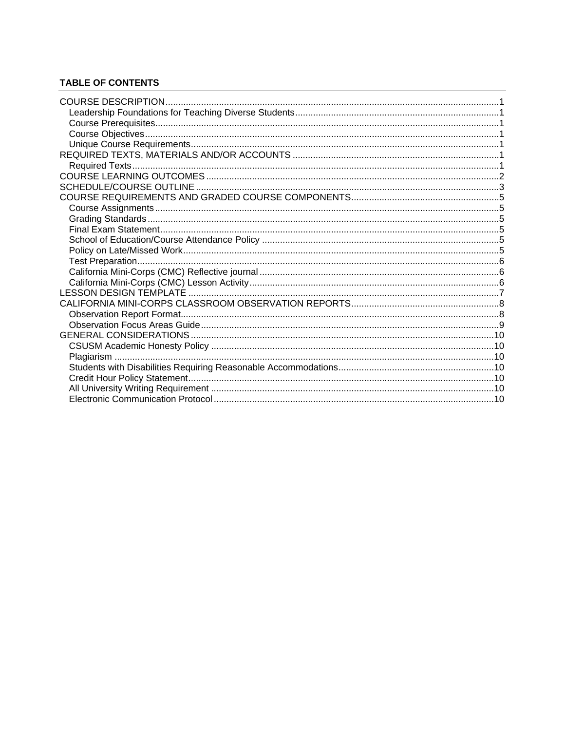# **TABLE OF CONTENTS**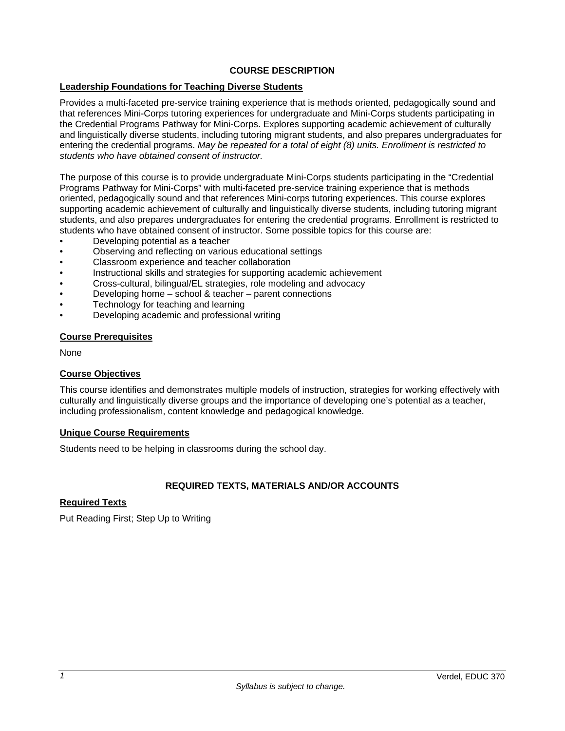# **COURSE DESCRIPTION**

## **Leadership Foundations for Teaching Diverse Students**

Provides a multi-faceted pre-service training experience that is methods oriented, pedagogically sound and that references Mini-Corps tutoring experiences for undergraduate and Mini-Corps students participating in the Credential Programs Pathway for Mini-Corps. Explores supporting academic achievement of culturally and linguistically diverse students, including tutoring migrant students, and also prepares undergraduates for entering the credential programs. *May be repeated for a total of eight (8) units. Enrollment is restricted to students who have obtained consent of instructor.*

The purpose of this course is to provide undergraduate Mini-Corps students participating in the "Credential Programs Pathway for Mini-Corps" with multi-faceted pre-service training experience that is methods oriented, pedagogically sound and that references Mini-corps tutoring experiences. This course explores supporting academic achievement of culturally and linguistically diverse students, including tutoring migrant students, and also prepares undergraduates for entering the credential programs. Enrollment is restricted to students who have obtained consent of instructor. Some possible topics for this course are:

- Developing potential as a teacher
- Observing and reflecting on various educational settings
- Classroom experience and teacher collaboration
- Instructional skills and strategies for supporting academic achievement
- Cross-cultural, bilingual/EL strategies, role modeling and advocacy
- Developing home school & teacher parent connections
- Technology for teaching and learning
- Developing academic and professional writing

#### **Course Prerequisites**

None

#### **Course Objectives**

This course identifies and demonstrates multiple models of instruction, strategies for working effectively with culturally and linguistically diverse groups and the importance of developing one's potential as a teacher, including professionalism, content knowledge and pedagogical knowledge.

#### **Unique Course Requirements**

Students need to be helping in classrooms during the school day.

## **REQUIRED TEXTS, MATERIALS AND/OR ACCOUNTS**

## **Required Texts**

Put Reading First; Step Up to Writing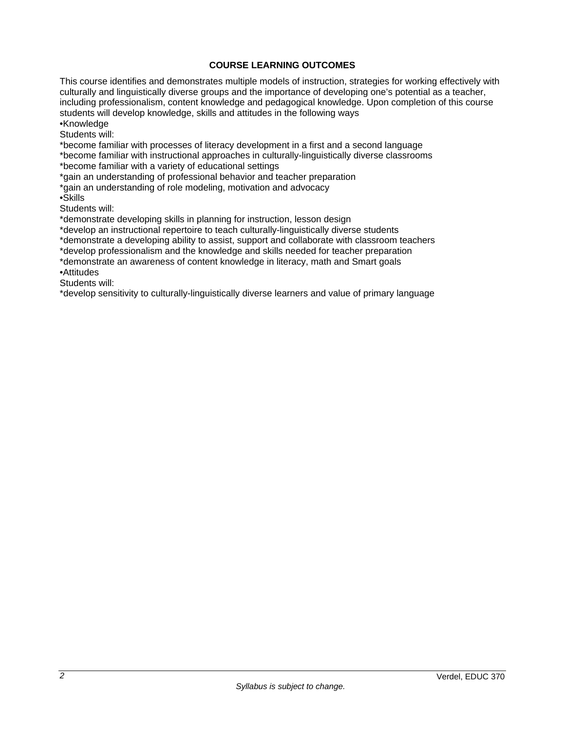## **COURSE LEARNING OUTCOMES**

This course identifies and demonstrates multiple models of instruction, strategies for working effectively with culturally and linguistically diverse groups and the importance of developing one's potential as a teacher, including professionalism, content knowledge and pedagogical knowledge. Upon completion of this course students will develop knowledge, skills and attitudes in the following ways •Knowledge

Students will:

\*become familiar with processes of literacy development in a first and a second language

\*become familiar with instructional approaches in culturally-linguistically diverse classrooms \*become familiar with a variety of educational settings

\*gain an understanding of professional behavior and teacher preparation

\*gain an understanding of role modeling, motivation and advocacy

•Skills

Students will:

\*demonstrate developing skills in planning for instruction, lesson design

\*develop an instructional repertoire to teach culturally-linguistically diverse students

\*demonstrate a developing ability to assist, support and collaborate with classroom teachers

\*develop professionalism and the knowledge and skills needed for teacher preparation \*demonstrate an awareness of content knowledge in literacy, math and Smart goals

•Attitudes

Students will:

\*develop sensitivity to culturally-linguistically diverse learners and value of primary language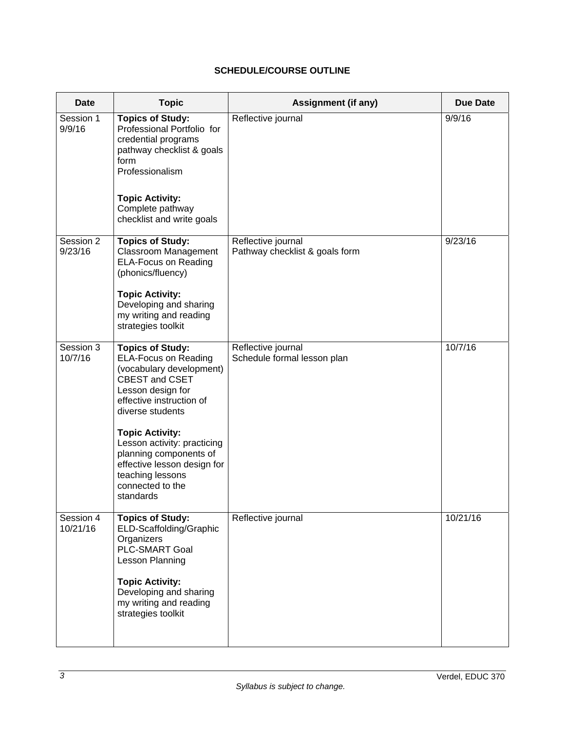# **SCHEDULE/COURSE OUTLINE**

| <b>Date</b>           | <b>Topic</b>                                                                                                                                                                                                                                                                                                                                     | Assignment (if any)                                  | <b>Due Date</b> |
|-----------------------|--------------------------------------------------------------------------------------------------------------------------------------------------------------------------------------------------------------------------------------------------------------------------------------------------------------------------------------------------|------------------------------------------------------|-----------------|
| Session 1<br>9/9/16   | <b>Topics of Study:</b><br>Professional Portfolio for<br>credential programs<br>pathway checklist & goals<br>form<br>Professionalism<br><b>Topic Activity:</b><br>Complete pathway<br>checklist and write goals                                                                                                                                  | Reflective journal                                   | 9/9/16          |
| Session 2<br>9/23/16  | <b>Topics of Study:</b><br><b>Classroom Management</b><br><b>ELA-Focus on Reading</b><br>(phonics/fluency)<br><b>Topic Activity:</b><br>Developing and sharing<br>my writing and reading<br>strategies toolkit                                                                                                                                   | Reflective journal<br>Pathway checklist & goals form | 9/23/16         |
| Session 3<br>10/7/16  | <b>Topics of Study:</b><br><b>ELA-Focus on Reading</b><br>(vocabulary development)<br>CBEST and CSET<br>Lesson design for<br>effective instruction of<br>diverse students<br><b>Topic Activity:</b><br>Lesson activity: practicing<br>planning components of<br>effective lesson design for<br>teaching lessons<br>connected to the<br>standards | Reflective journal<br>Schedule formal lesson plan    | 10/7/16         |
| Session 4<br>10/21/16 | <b>Topics of Study:</b><br>ELD-Scaffolding/Graphic<br>Organizers<br><b>PLC-SMART Goal</b><br>Lesson Planning<br><b>Topic Activity:</b><br>Developing and sharing<br>my writing and reading<br>strategies toolkit                                                                                                                                 | Reflective journal                                   | 10/21/16        |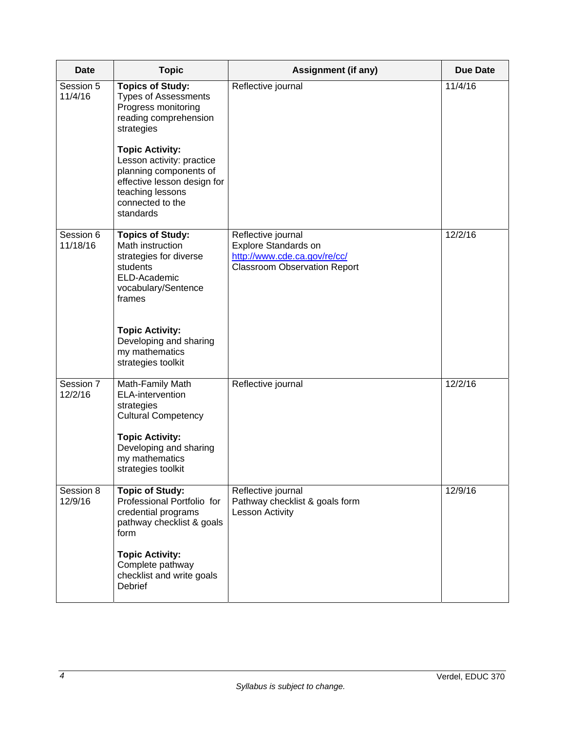| <b>Date</b>           | <b>Topic</b>                                                                                                                                                                                                                                                                 | Assignment (if any)                                                                                               | <b>Due Date</b> |
|-----------------------|------------------------------------------------------------------------------------------------------------------------------------------------------------------------------------------------------------------------------------------------------------------------------|-------------------------------------------------------------------------------------------------------------------|-----------------|
| Session 5<br>11/4/16  | <b>Topics of Study:</b><br><b>Types of Assessments</b><br>Progress monitoring<br>reading comprehension<br>strategies<br><b>Topic Activity:</b><br>Lesson activity: practice<br>planning components of<br>effective lesson design for<br>teaching lessons<br>connected to the | Reflective journal                                                                                                | 11/4/16         |
|                       | standards                                                                                                                                                                                                                                                                    |                                                                                                                   |                 |
| Session 6<br>11/18/16 | <b>Topics of Study:</b><br>Math instruction<br>strategies for diverse<br>students<br>ELD-Academic<br>vocabulary/Sentence<br>frames                                                                                                                                           | Reflective journal<br>Explore Standards on<br>http://www.cde.ca.gov/re/cc/<br><b>Classroom Observation Report</b> | 12/2/16         |
|                       | <b>Topic Activity:</b><br>Developing and sharing<br>my mathematics<br>strategies toolkit                                                                                                                                                                                     |                                                                                                                   |                 |
| Session 7<br>12/2/16  | Math-Family Math<br>ELA-intervention<br>strategies<br><b>Cultural Competency</b><br><b>Topic Activity:</b><br>Developing and sharing<br>my mathematics<br>strategies toolkit                                                                                                 | Reflective journal                                                                                                | 12/2/16         |
| Session 8<br>12/9/16  | <b>Topic of Study:</b><br>Professional Portfolio for<br>credential programs<br>pathway checklist & goals<br>form                                                                                                                                                             | Reflective journal<br>Pathway checklist & goals form<br>Lesson Activity                                           | 12/9/16         |
|                       | <b>Topic Activity:</b><br>Complete pathway<br>checklist and write goals<br><b>Debrief</b>                                                                                                                                                                                    |                                                                                                                   |                 |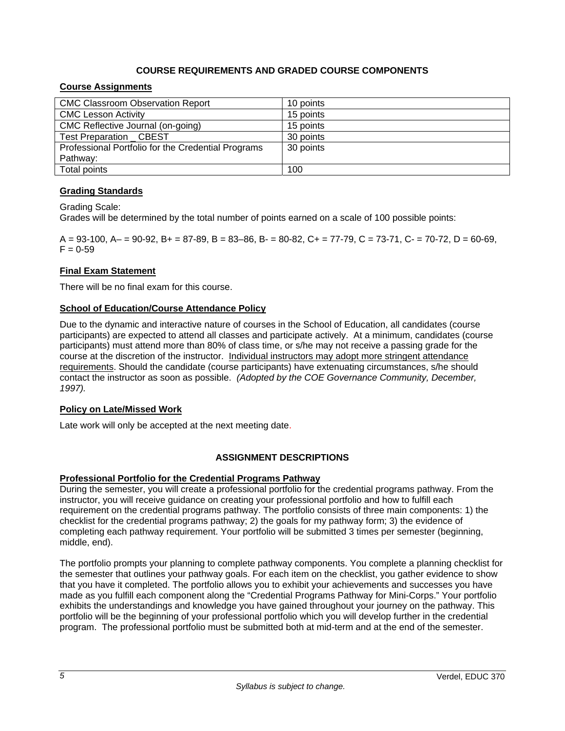# **COURSE REQUIREMENTS AND GRADED COURSE COMPONENTS**

# **Course Assignments**

| <b>CMC Classroom Observation Report</b>            | 10 points |
|----------------------------------------------------|-----------|
| <b>CMC Lesson Activity</b>                         | 15 points |
| CMC Reflective Journal (on-going)                  | 15 points |
| <b>Test Preparation CBEST</b>                      | 30 points |
| Professional Portfolio for the Credential Programs | 30 points |
| Pathway:                                           |           |
| Total points                                       | 100       |

## **Grading Standards**

Grading Scale:

Grades will be determined by the total number of points earned on a scale of 100 possible points:

 $A = 93-100$ ,  $A = 90-92$ ,  $B = 87-89$ ,  $B = 83-86$ ,  $B = 80-82$ ,  $C = 77-79$ ,  $C = 73-71$ ,  $C = 70-72$ ,  $D = 60-69$ ,  $F = 0.59$ 

## **Final Exam Statement**

There will be no final exam for this course.

#### **School of Education/Course Attendance Policy**

Due to the dynamic and interactive nature of courses in the School of Education, all candidates (course participants) are expected to attend all classes and participate actively. At a minimum, candidates (course participants) must attend more than 80% of class time, or s/he may not receive a passing grade for the course at the discretion of the instructor. Individual instructors may adopt more stringent attendance requirements. Should the candidate (course participants) have extenuating circumstances, s/he should contact the instructor as soon as possible. *(Adopted by the COE Governance Community, December, 1997).*

## **Policy on Late/Missed Work**

Late work will only be accepted at the next meeting date.

## **ASSIGNMENT DESCRIPTIONS**

#### **Professional Portfolio for the Credential Programs Pathway**

During the semester, you will create a professional portfolio for the credential programs pathway. From the instructor, you will receive guidance on creating your professional portfolio and how to fulfill each requirement on the credential programs pathway. The portfolio consists of three main components: 1) the checklist for the credential programs pathway; 2) the goals for my pathway form; 3) the evidence of completing each pathway requirement. Your portfolio will be submitted 3 times per semester (beginning, middle, end).

The portfolio prompts your planning to complete pathway components. You complete a planning checklist for the semester that outlines your pathway goals. For each item on the checklist, you gather evidence to show that you have it completed. The portfolio allows you to exhibit your achievements and successes you have made as you fulfill each component along the "Credential Programs Pathway for Mini-Corps." Your portfolio exhibits the understandings and knowledge you have gained throughout your journey on the pathway. This portfolio will be the beginning of your professional portfolio which you will develop further in the credential program. The professional portfolio must be submitted both at mid-term and at the end of the semester.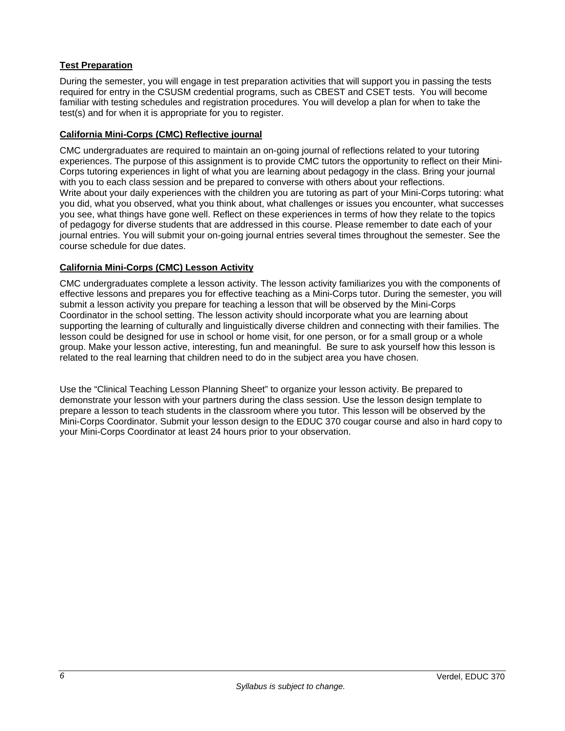# **Test Preparation**

During the semester, you will engage in test preparation activities that will support you in passing the tests required for entry in the CSUSM credential programs, such as CBEST and CSET tests. You will become familiar with testing schedules and registration procedures. You will develop a plan for when to take the test(s) and for when it is appropriate for you to register.

## **California Mini-Corps (CMC) Reflective journal**

CMC undergraduates are required to maintain an on-going journal of reflections related to your tutoring experiences. The purpose of this assignment is to provide CMC tutors the opportunity to reflect on their Mini-Corps tutoring experiences in light of what you are learning about pedagogy in the class. Bring your journal with you to each class session and be prepared to converse with others about your reflections. Write about your daily experiences with the children you are tutoring as part of your Mini-Corps tutoring: what you did, what you observed, what you think about, what challenges or issues you encounter, what successes you see, what things have gone well. Reflect on these experiences in terms of how they relate to the topics of pedagogy for diverse students that are addressed in this course. Please remember to date each of your journal entries. You will submit your on-going journal entries several times throughout the semester. See the course schedule for due dates.

## **California Mini-Corps (CMC) Lesson Activity**

CMC undergraduates complete a lesson activity. The lesson activity familiarizes you with the components of effective lessons and prepares you for effective teaching as a Mini-Corps tutor. During the semester, you will submit a lesson activity you prepare for teaching a lesson that will be observed by the Mini-Corps Coordinator in the school setting. The lesson activity should incorporate what you are learning about supporting the learning of culturally and linguistically diverse children and connecting with their families. The lesson could be designed for use in school or home visit, for one person, or for a small group or a whole group. Make your lesson active, interesting, fun and meaningful. Be sure to ask yourself how this lesson is related to the real learning that children need to do in the subject area you have chosen.

Use the "Clinical Teaching Lesson Planning Sheet" to organize your lesson activity. Be prepared to demonstrate your lesson with your partners during the class session. Use the lesson design template to prepare a lesson to teach students in the classroom where you tutor. This lesson will be observed by the Mini-Corps Coordinator. Submit your lesson design to the EDUC 370 cougar course and also in hard copy to your Mini-Corps Coordinator at least 24 hours prior to your observation.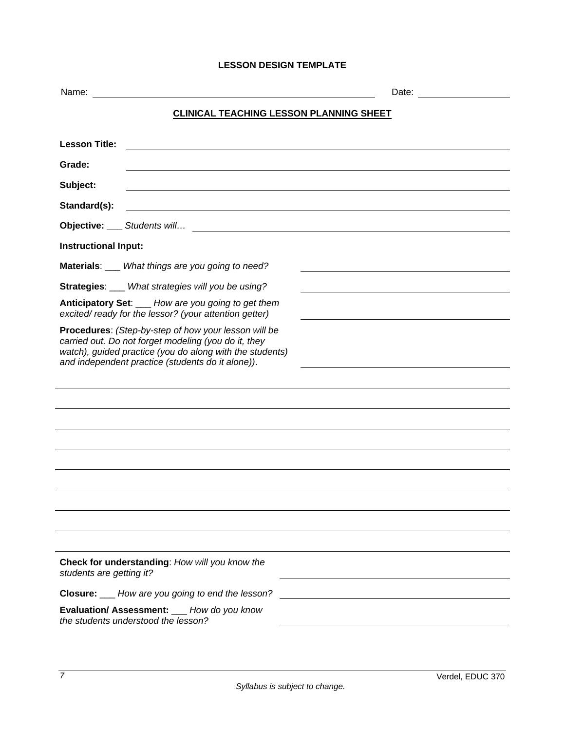# **LESSON DESIGN TEMPLATE**

| <b>CLINICAL TEACHING LESSON PLANNING SHEET</b>                                                                                                                                                                                |  |  |  |  |
|-------------------------------------------------------------------------------------------------------------------------------------------------------------------------------------------------------------------------------|--|--|--|--|
| <b>Lesson Title:</b><br><u> 1980 - Johann Stoff, deutscher Stoff, der Stoff, der Stoff, der Stoff, der Stoff, der Stoff, der Stoff, der S</u>                                                                                 |  |  |  |  |
| Grade:                                                                                                                                                                                                                        |  |  |  |  |
| Subject:                                                                                                                                                                                                                      |  |  |  |  |
| Standard(s):<br><u> 1989 - Johann Stein, fransk politik (d. 1989)</u>                                                                                                                                                         |  |  |  |  |
|                                                                                                                                                                                                                               |  |  |  |  |
| <b>Instructional Input:</b>                                                                                                                                                                                                   |  |  |  |  |
| Materials: What things are you going to need?                                                                                                                                                                                 |  |  |  |  |
| Strategies: __ What strategies will you be using?                                                                                                                                                                             |  |  |  |  |
| Anticipatory Set: ___ How are you going to get them<br>excited/ready for the lessor? (your attention getter)                                                                                                                  |  |  |  |  |
| Procedures: (Step-by-step of how your lesson will be<br>carried out. Do not forget modeling (you do it, they<br>watch), guided practice (you do along with the students)<br>and independent practice (students do it alone)). |  |  |  |  |
|                                                                                                                                                                                                                               |  |  |  |  |
|                                                                                                                                                                                                                               |  |  |  |  |
|                                                                                                                                                                                                                               |  |  |  |  |
|                                                                                                                                                                                                                               |  |  |  |  |
|                                                                                                                                                                                                                               |  |  |  |  |
|                                                                                                                                                                                                                               |  |  |  |  |
|                                                                                                                                                                                                                               |  |  |  |  |
|                                                                                                                                                                                                                               |  |  |  |  |
| Check for understanding: How will you know the<br>students are getting it?                                                                                                                                                    |  |  |  |  |
| <b>Closure:</b> ___ How are you going to end the lesson?                                                                                                                                                                      |  |  |  |  |
| Evaluation/ Assessment: __ How do you know<br>the students understood the lesson?                                                                                                                                             |  |  |  |  |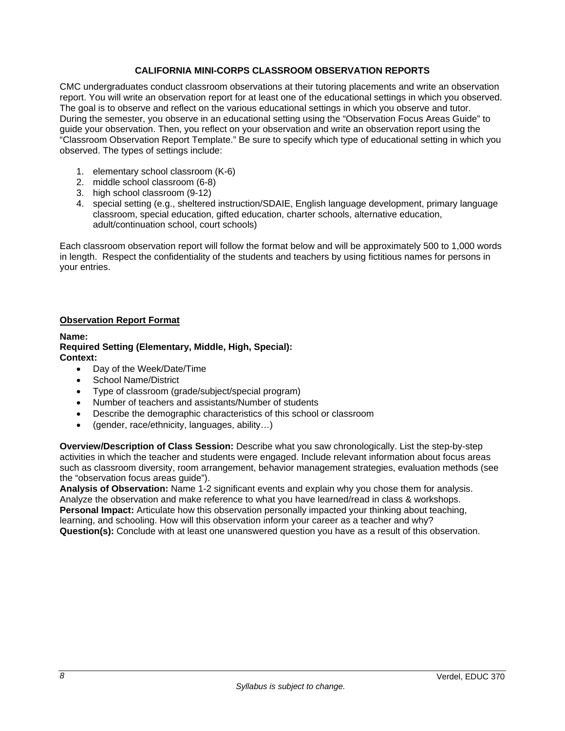# **CALIFORNIA MINI-CORPS CLASSROOM OBSERVATION REPORTS**

CMC undergraduates conduct classroom observations at their tutoring placements and write an observation report. You will write an observation report for at least one of the educational settings in which you observed. The goal is to observe and reflect on the various educational settings in which you observe and tutor. During the semester, you observe in an educational setting using the "Observation Focus Areas Guide" to guide your observation. Then, you reflect on your observation and write an observation report using the "Classroom Observation Report Template." Be sure to specify which type of educational setting in which you observed. The types of settings include:

- 1. elementary school classroom (K-6)
- 2. middle school classroom (6-8)
- 3. high school classroom (9-12)
- 4. special setting (e.g., sheltered instruction/SDAIE, English language development, primary language classroom, special education, gifted education, charter schools, alternative education, adult/continuation school, court schools)

Each classroom observation report will follow the format below and will be approximately 500 to 1,000 words in length. Respect the confidentiality of the students and teachers by using fictitious names for persons in your entries.

## **Observation Report Format**

**Name:** 

**Required Setting (Elementary, Middle, High, Special): Context:** 

- Day of the Week/Date/Time
- School Name/District
- Type of classroom (grade/subject/special program)
- Number of teachers and assistants/Number of students
- Describe the demographic characteristics of this school or classroom
- (gender, race/ethnicity, languages, ability…)

**Overview/Description of Class Session:** Describe what you saw chronologically. List the step-by-step activities in which the teacher and students were engaged. Include relevant information about focus areas such as classroom diversity, room arrangement, behavior management strategies, evaluation methods (see the "observation focus areas guide").

**Analysis of Observation:** Name 1-2 significant events and explain why you chose them for analysis. Analyze the observation and make reference to what you have learned/read in class & workshops. **Personal Impact:** Articulate how this observation personally impacted your thinking about teaching, learning, and schooling. How will this observation inform your career as a teacher and why? **Question(s):** Conclude with at least one unanswered question you have as a result of this observation.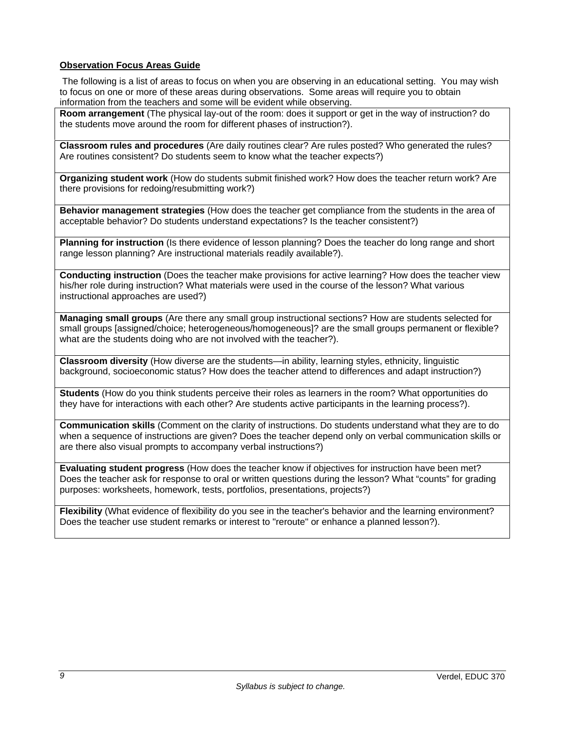## **Observation Focus Areas Guide**

 The following is a list of areas to focus on when you are observing in an educational setting. You may wish to focus on one or more of these areas during observations. Some areas will require you to obtain information from the teachers and some will be evident while observing.

**Room arrangement** (The physical lay-out of the room: does it support or get in the way of instruction? do the students move around the room for different phases of instruction?).

**Classroom rules and procedures** (Are daily routines clear? Are rules posted? Who generated the rules? Are routines consistent? Do students seem to know what the teacher expects?)

**Organizing student work** (How do students submit finished work? How does the teacher return work? Are there provisions for redoing/resubmitting work?)

**Behavior management strategies** (How does the teacher get compliance from the students in the area of acceptable behavior? Do students understand expectations? Is the teacher consistent?)

**Planning for instruction** (Is there evidence of lesson planning? Does the teacher do long range and short range lesson planning? Are instructional materials readily available?).

**Conducting instruction** (Does the teacher make provisions for active learning? How does the teacher view his/her role during instruction? What materials were used in the course of the lesson? What various instructional approaches are used?)

**Managing small groups** (Are there any small group instructional sections? How are students selected for small groups [assigned/choice; heterogeneous/homogeneous]? are the small groups permanent or flexible? what are the students doing who are not involved with the teacher?).

**Classroom diversity** (How diverse are the students—in ability, learning styles, ethnicity, linguistic background, socioeconomic status? How does the teacher attend to differences and adapt instruction?)

**Students** (How do you think students perceive their roles as learners in the room? What opportunities do they have for interactions with each other? Are students active participants in the learning process?).

**Communication skills** (Comment on the clarity of instructions. Do students understand what they are to do when a sequence of instructions are given? Does the teacher depend only on verbal communication skills or are there also visual prompts to accompany verbal instructions?)

**Evaluating student progress** (How does the teacher know if objectives for instruction have been met? Does the teacher ask for response to oral or written questions during the lesson? What "counts" for grading purposes: worksheets, homework, tests, portfolios, presentations, projects?)

**Flexibility** (What evidence of flexibility do you see in the teacher's behavior and the learning environment? Does the teacher use student remarks or interest to "reroute" or enhance a planned lesson?).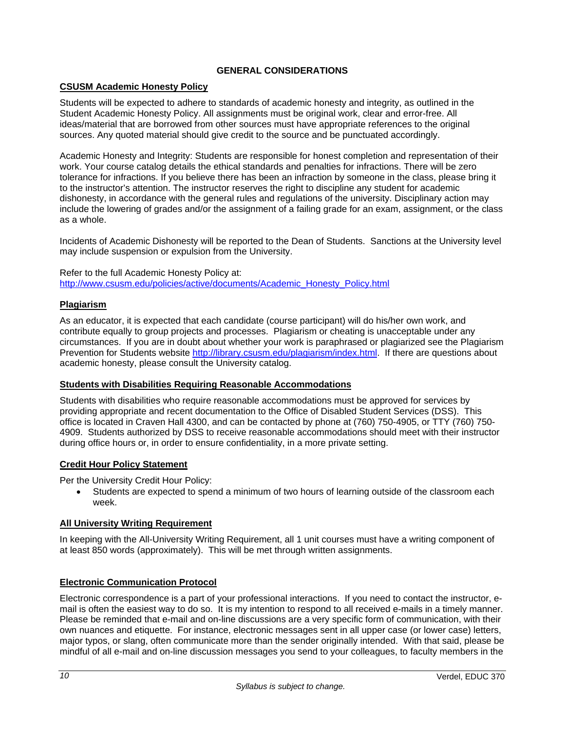## **GENERAL CONSIDERATIONS**

# **CSUSM Academic Honesty Policy**

Students will be expected to adhere to standards of academic honesty and integrity, as outlined in the Student Academic Honesty Policy. All assignments must be original work, clear and error-free. All ideas/material that are borrowed from other sources must have appropriate references to the original sources. Any quoted material should give credit to the source and be punctuated accordingly.

Academic Honesty and Integrity: Students are responsible for honest completion and representation of their work. Your course catalog details the ethical standards and penalties for infractions. There will be zero tolerance for infractions. If you believe there has been an infraction by someone in the class, please bring it to the instructor's attention. The instructor reserves the right to discipline any student for academic dishonesty, in accordance with the general rules and regulations of the university. Disciplinary action may include the lowering of grades and/or the assignment of a failing grade for an exam, assignment, or the class as a whole.

Incidents of Academic Dishonesty will be reported to the Dean of Students. Sanctions at the University level may include suspension or expulsion from the University.

Refer to the full Academic Honesty Policy at: http://www.csusm.edu/policies/active/documents/Academic\_Honesty\_Policy.html

#### **Plagiarism**

As an educator, it is expected that each candidate (course participant) will do his/her own work, and contribute equally to group projects and processes. Plagiarism or cheating is unacceptable under any circumstances. If you are in doubt about whether your work is paraphrased or plagiarized see the Plagiarism Prevention for Students website http://library.csusm.edu/plagiarism/index.html. If there are questions about academic honesty, please consult the University catalog.

#### **Students with Disabilities Requiring Reasonable Accommodations**

Students with disabilities who require reasonable accommodations must be approved for services by providing appropriate and recent documentation to the Office of Disabled Student Services (DSS). This office is located in Craven Hall 4300, and can be contacted by phone at (760) 750-4905, or TTY (760) 750- 4909. Students authorized by DSS to receive reasonable accommodations should meet with their instructor during office hours or, in order to ensure confidentiality, in a more private setting.

## **Credit Hour Policy Statement**

Per the University Credit Hour Policy:

 Students are expected to spend a minimum of two hours of learning outside of the classroom each week.

## **All University Writing Requirement**

In keeping with the All-University Writing Requirement, all 1 unit courses must have a writing component of at least 850 words (approximately). This will be met through written assignments.

## **Electronic Communication Protocol**

Electronic correspondence is a part of your professional interactions. If you need to contact the instructor, email is often the easiest way to do so. It is my intention to respond to all received e-mails in a timely manner. Please be reminded that e-mail and on-line discussions are a very specific form of communication, with their own nuances and etiquette. For instance, electronic messages sent in all upper case (or lower case) letters, major typos, or slang, often communicate more than the sender originally intended. With that said, please be mindful of all e-mail and on-line discussion messages you send to your colleagues, to faculty members in the